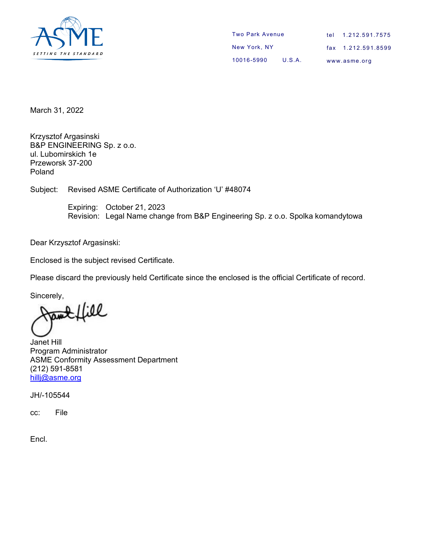

| Two Park Avenue |        |              | tel 1.212.591.7575 |
|-----------------|--------|--------------|--------------------|
| New York, NY    |        |              | fax 1.212.591.8599 |
| 10016-5990      | U.S.A. | www.asme.org |                    |

March 31, 2022

Krzysztof Argasinski B&P ENGINEERING Sp. z o.o. ul. Lubomirskich 1e Przeworsk 37-200 Poland

Subject: Revised ASME Certificate of Authorization 'U' #48074

Expiring: October 21, 2023 Revision: Legal Name change from B&P Engineering Sp. z o.o. Spolka komandytowa

Dear Krzysztof Argasinski:

Enclosed is the subject revised Certificate.

Please discard the previously held Certificate since the enclosed is the official Certificate of record.

Sincerely,

Janet Hill Program Administrator ASME Conformity Assessment Department (212) 591-8581 [hillj@asme.org](mailto:hillj@asme.org)

JH/-105544

cc: File

Encl.